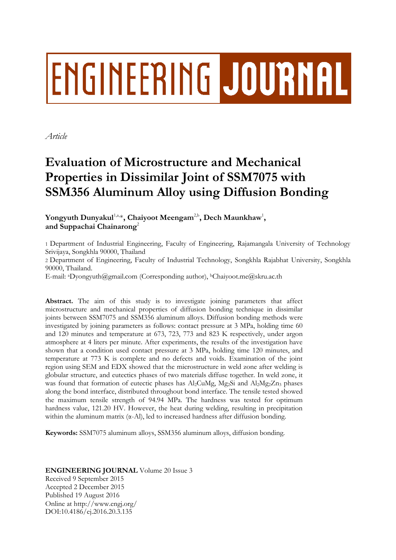# **ENGINEERING JOURNAL**

*Article*

# **Evaluation of Microstructure and Mechanical Properties in Dissimilar Joint of SSM7075 with SSM356 Aluminum Alloy using Diffusion Bonding**

Yongyuth Dunyakul $^{1,a,\ast}$ , Chaiyoot Meengam<sup>2,b</sup>, Dech Maunkhaw<sup>1</sup>, **and Suppachai Chainarong**<sup>2</sup>

1 Department of Industrial Engineering, Faculty of Engineering, Rajamangala University of Technology Srivijaya, Songkhla 90000, Thailand

2 Department of Engineering, Faculty of Industrial Technology, Songkhla Rajabhat University, Songkhla 90000, Thailand.

E-mail: aDyongyuth@gmail.com (Corresponding author), <sup>b</sup>Chaiyoot.me@skru.ac.th

**Abstract.** The aim of this study is to investigate joining parameters that affect microstructure and mechanical properties of diffusion bonding technique in dissimilar joints between SSM7075 and SSM356 aluminum alloys. Diffusion bonding methods were investigated by joining parameters as follows: contact pressure at 3 MPa, holding time 60 and 120 minutes and temperature at 673, 723, 773 and 823 K respectively, under argon atmosphere at 4 liters per minute. After experiments, the results of the investigation have shown that a condition used contact pressure at 3 MPa, holding time 120 minutes, and temperature at 773 K is complete and no defects and voids. Examination of the joint region using SEM and EDX showed that the microstructure in weld zone after welding is globular structure, and eutectics phases of two materials diffuse together. In weld zone, it was found that formation of eutectic phases has  $Al_2CuMg$ ,  $Mg_2Si$  and  $Al_2Mg_2Zn_3$  phases along the bond interface, distributed throughout bond interface. The tensile tested showed the maximum tensile strength of 94.94 MPa. The hardness was tested for optimum hardness value, 121.20 HV. However, the heat during welding, resulting in precipitation within the aluminum matrix (α-Al), led to increased hardness after diffusion bonding.

**Keywords:** SSM7075 aluminum alloys, SSM356 aluminum alloys, diffusion bonding.

# **ENGINEERING JOURNAL** Volume 20 Issue 3 Received 9 September 2015 Accepted 2 December 2015 Published 19 August 2016 Online at http://www.engj.org/ DOI:10.4186/ej.2016.20.3.135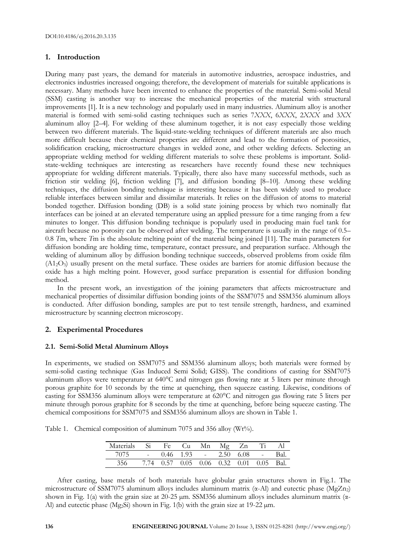# **1. Introduction**

During many past years, the demand for materials in automotive industries, aerospace industries, and electronics industries increased ongoing; therefore, the development of materials for suitable applications is necessary. Many methods have been invented to enhance the properties of the material. Semi-solid Metal (SSM) casting is another way to increase the mechanical properties of the material with structural improvements [1]. It is a new technology and popularly used in many industries. Aluminum alloy is another material is formed with semi-solid casting techniques such as series 7*XXX*, 6*XXX*, 2*XXX* and 3*XX* aluminum alloy [2–4]. For welding of these aluminum together, it is not easy especially those welding between two different materials. The liquid-state-welding techniques of different materials are also much more difficult because their chemical properties are different and lead to the formation of porosities, solidification cracking, microstructure changes in welded zone, and other welding defects. Selecting an appropriate welding method for welding different materials to solve these problems is important. Solidstate-welding techniques are interesting as researchers have recently found these new techniques appropriate for welding different materials. Typically, there also have many successful methods, such as friction stir welding [6], friction welding [7], and diffusion bonding [8–10]. Among these welding techniques, the diffusion bonding technique is interesting because it has been widely used to produce reliable interfaces between similar and dissimilar materials. It relies on the diffusion of atoms to material bonded together. Diffusion bonding (DB) is a solid state joining process by which two nominally flat interfaces can be joined at an elevated temperature using an applied pressure for a time ranging from a few minutes to longer. This diffusion bonding technique is popularly used in producing main fuel tank for aircraft because no porosity can be observed after welding. The temperature is usually in the range of 0.5– 0.8 *T*m, where *T*m is the absolute melting point of the material being joined [11]. The main parameters for diffusion bonding are holding time, temperature, contact pressure, and preparation surface. Although the welding of aluminum alloy by diffusion bonding technique succeeds, observed problems from oxide film  $(A1<sub>2</sub>O<sub>3</sub>)$  usually present on the metal surface. These oxides are barriers for atomic diffusion because the oxide has a high melting point. However, good surface preparation is essential for diffusion bonding method.

In the present work, an investigation of the joining parameters that affects microstructure and mechanical properties of dissimilar diffusion bonding joints of the SSM7075 and SSM356 aluminum alloys is conducted. After diffusion bonding, samples are put to test tensile strength, hardness, and examined microstructure by scanning electron microscopy.

# **2. Experimental Procedures**

# **2.1. Semi-Solid Metal Aluminum Alloys**

In experiments, we studied on SSM7075 and SSM356 aluminum alloys; both materials were formed by semi-solid casting technique (Gas Induced Semi Solid; GISS). The conditions of casting for SSM7075 aluminum alloys were temperature at 640°C and nitrogen gas flowing rate at 5 liters per minute through porous graphite for 10 seconds by the time at quenching, then squeeze casting. Likewise, conditions of casting for SSM356 aluminum alloys were temperature at 620°C and nitrogen gas flowing rate 5 liters per minute through porous graphite for 8 seconds by the time at quenching, before being squeeze casting. The chemical compositions for SSM7075 and SSM356 aluminum alloys are shown in Table 1.

Table 1. Chemical composition of aluminum 7075 and 356 alloy (Wt%).

| Materials | - Si | Fe Cu Mn |                                    | $Mg$ $Zn$ |      |       |
|-----------|------|----------|------------------------------------|-----------|------|-------|
| 7075      |      |          | $-$ 0.46 1.93 $-$ 2.50 6.08 $-$    |           |      | Bal.  |
|           |      |          | $0.57$ $0.05$ $0.06$ $0.32$ $0.01$ |           | 0.05 | -Bal. |

After casting, base metals of both materials have globular grain structures shown in Fig.1. The microstructure of SSM7075 aluminum alloys includes aluminum matrix  $(\alpha$ -Al) and eutectic phase (MgZn<sub>2</sub>) shown in Fig. 1(a) with the grain size at 20-25 μm. SSM356 aluminum alloys includes aluminum matrix (α-Al) and eutectic phase (Mg<sub>2</sub>Si) shown in Fig. 1(b) with the grain size at 19-22  $\mu$ m.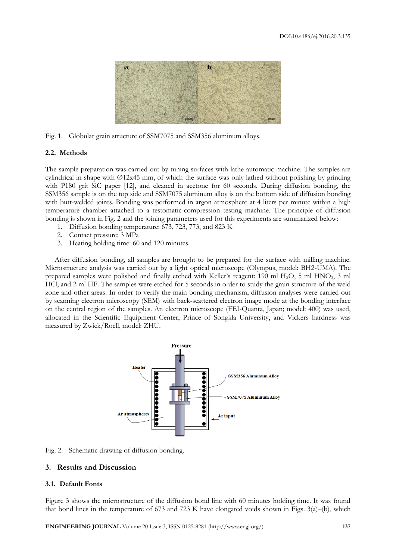

Fig. 1. Globular grain structure of SSM7075 and SSM356 aluminum alloys.

#### **2.2. Methods**

The sample preparation was carried out by tuning surfaces with lathe automatic machine. The samples are cylindrical in shape with Ø12x45 mm, of which the surface was only lathed without polishing by grinding with P180 grit SiC paper [12], and cleaned in acetone for 60 seconds. During diffusion bonding, the SSM356 sample is on the top side and SSM7075 aluminum alloy is on the bottom side of diffusion bonding with butt-welded joints. Bonding was performed in argon atmosphere at 4 liters per minute within a high temperature chamber attached to a testomatic-compression testing machine. The principle of diffusion bonding is shown in Fig. 2 and the joining parameters used for this experiments are summarized below:

- 1. Diffusion bonding temperature: 673, 723, 773, and 823 K
- 2. Contact pressure: 3 MPa
- 3. Heating holding time: 60 and 120 minutes.

After diffusion bonding, all samples are brought to be prepared for the surface with milling machine. Microstructure analysis was carried out by a light optical microscope (Olympus, model: BH2-UMA). The prepared samples were polished and finally etched with Keller's reagent: 190 ml H2O, 5 ml HNO3, 3 ml HCl, and 2 ml HF. The samples were etched for 5 seconds in order to study the grain structure of the weld zone and other areas. In order to verify the main bonding mechanism, diffusion analyses were carried out by scanning electron microscopy (SEM) with back-scattered electron image mode at the bonding interface on the central region of the samples. An electron microscope (FEI-Quanta, Japan; model: 400) was used, allocated in the Scientific Equipment Center, Prince of Songkla University, and Vickers hardness was measured by Zwick/Roell, model: ZHU.



Fig. 2. Schematic drawing of diffusion bonding.

#### **3. Results and Discussion**

#### **3.1. Default Fonts**

Figure 3 shows the microstructure of the diffusion bond line with 60 minutes holding time. It was found that bond lines in the temperature of 673 and 723 K have elongated voids shown in Figs. 3(a)–(b), which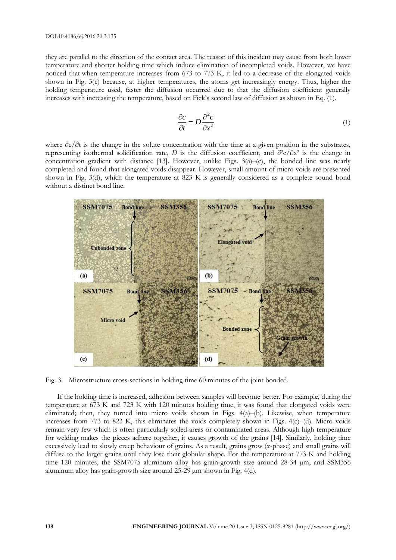they are parallel to the direction of the contact area. The reason of this incident may cause from both lower temperature and shorter holding time which induce elimination of incompleted voids. However, we have noticed that when temperature increases from 673 to 773 K, it led to a decrease of the elongated voids shown in Fig. 3(c) because, at higher temperatures, the atoms get increasingly energy. Thus, higher the holding temperature used, faster the diffusion occurred due to that the diffusion coefficient generally increases with increasing the temperature, based on Fick's second law of diffusion as shown in Eq. (1).

$$
\frac{\partial c}{\partial t} = D \frac{\partial^2 c}{\partial x^2} \tag{1}
$$

where  $\partial c/\partial t$  is the change in the solute concentration with the time at a given position in the substrates, representing isothermal solidification rate, *D* is the diffusion coefficient, and ∂2c/∂x<sup>2</sup> is the change in concentration gradient with distance [13]. However, unlike Figs.  $3(a)$ –(c), the bonded line was nearly completed and found that elongated voids disappear. However, small amount of micro voids are presented shown in Fig. 3(d), which the temperature at 823 K is generally considered as a complete sound bond without a distinct bond line.



Fig. 3. Microstructure cross-sections in holding time 60 minutes of the joint bonded.

If the holding time is increased, adhesion between samples will become better. For example, during the temperature at 673 K and 723 K with 120 minutes holding time, it was found that elongated voids were eliminated; then, they turned into micro voids shown in Figs. 4(a)–(b). Likewise, when temperature increases from 773 to 823 K, this eliminates the voids completely shown in Figs. 4(c)–(d). Micro voids remain very few which is often particularly soiled areas or contaminated areas. Although high temperature for welding makes the pieces adhere together, it causes growth of the grains [14]. Similarly, holding time excessively lead to slowly creep behaviour of grains. As a result, grains grow (α-phase) and small grains will diffuse to the larger grains until they lose their globular shape. For the temperature at 773 K and holding time 120 minutes, the SSM7075 aluminum alloy has grain-growth size around 28-34 µm, and SSM356 aluminum alloy has grain-growth size around 25-29 µm shown in Fig. 4(d).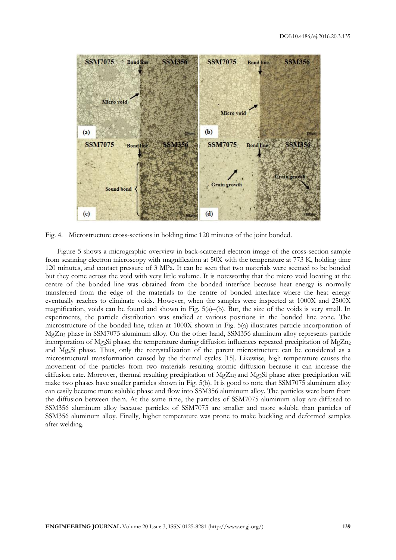

Fig. 4. Microstructure cross-sections in holding time 120 minutes of the joint bonded.

Figure 5 shows a micrographic overview in back-scattered electron image of the cross-section sample from scanning electron microscopy with magnification at 50X with the temperature at 773 K, holding time 120 minutes, and contact pressure of 3 MPa. It can be seen that two materials were seemed to be bonded but they come across the void with very little volume. It is noteworthy that the micro void locating at the centre of the bonded line was obtained from the bonded interface because heat energy is normally transferred from the edge of the materials to the centre of bonded interface where the heat energy eventually reaches to eliminate voids. However, when the samples were inspected at 1000X and 2500X magnification, voids can be found and shown in Fig. 5(a)–(b). But, the size of the voids is very small. In experiments, the particle distribution was studied at various positions in the bonded line zone. The microstructure of the bonded line, taken at 1000X shown in Fig. 5(a) illustrates particle incorporation of MgZn<sup>2</sup> phase in SSM7075 aluminum alloy. On the other hand, SSM356 aluminum alloy represents particle incorporation of Mg<sub>2</sub>Si phase; the temperature during diffusion influences repeated precipitation of MgZn<sub>2</sub> and Mg2Si phase. Thus, only the recrystallization of the parent microstructure can be considered as a microstructural transformation caused by the thermal cycles [15]. Likewise, high temperature causes the movement of the particles from two materials resulting atomic diffusion because it can increase the diffusion rate. Moreover, thermal resulting precipitation of  $MgZn<sub>2</sub>$  and  $Mg<sub>2</sub>Si$  phase after precipitation will make two phases have smaller particles shown in Fig. 5(b). It is good to note that SSM7075 aluminum alloy can easily become more soluble phase and flow into SSM356 aluminum alloy. The particles were born from the diffusion between them. At the same time, the particles of SSM7075 aluminum alloy are diffused to SSM356 aluminum alloy because particles of SSM7075 are smaller and more soluble than particles of SSM356 aluminum alloy. Finally, higher temperature was prone to make buckling and deformed samples after welding.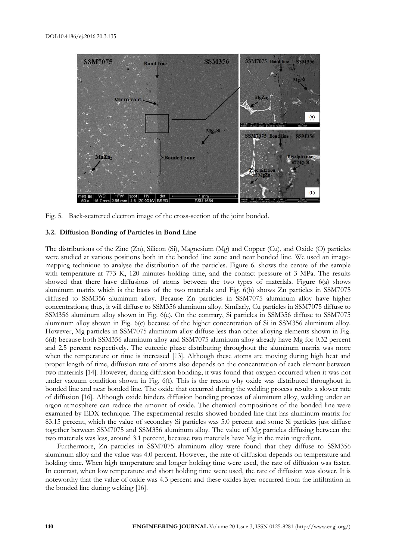

Fig. 5. Back-scattered electron image of the cross-section of the joint bonded.

#### **3.2. Diffusion Bonding of Particles in Bond Line**

The distributions of the Zinc (Zn), Silicon (Si), Magnesium (Mg) and Copper (Cu), and Oxide (O) particles were studied at various positions both in the bonded line zone and near bonded line. We used an imagemapping technique to analyse the distribution of the particles. Figure 6. shows the centre of the sample with temperature at 773 K, 120 minutes holding time, and the contact pressure of 3 MPa. The results showed that there have diffusions of atoms between the two types of materials. Figure 6(a) shows aluminum matrix which is the basis of the two materials and Fig. 6(b) shows Zn particles in SSM7075 diffused to SSM356 aluminum alloy. Because Zn particles in SSM7075 aluminum alloy have higher concentrations; thus, it will diffuse to SSM356 aluminum alloy. Similarly, Cu particles in SSM7075 diffuse to SSM356 aluminum alloy shown in Fig. 6(e). On the contrary, Si particles in SSM356 diffuse to SSM7075 aluminum alloy shown in Fig. 6(c) because of the higher concentration of Si in SSM356 aluminum alloy. However, Mg particles in SSM7075 aluminum alloy diffuse less than other alloying elements shown in Fig. 6(d) because both SSM356 aluminum alloy and SSM7075 aluminum alloy already have Mg for 0.32 percent and 2.5 percent respectively. The eutectic phase distributing throughout the aluminum matrix was more when the temperature or time is increased [13]. Although these atoms are moving during high heat and proper length of time, diffusion rate of atoms also depends on the concentration of each element between two materials [14]. However, during diffusion bonding, it was found that oxygen occurred when it was not under vacuum condition shown in Fig. 6(f). This is the reason why oxide was distributed throughout in bonded line and near bonded line. The oxide that occurred during the welding process results a slower rate of diffusion [16]. Although oxide hinders diffusion bonding process of aluminum alloy, welding under an argon atmosphere can reduce the amount of oxide. The chemical compositions of the bonded line were examined by EDX technique. The experimental results showed bonded line that has aluminum matrix for 83.15 percent, which the value of secondary Si particles was 5.0 percent and some Si particles just diffuse together between SSM7075 and SSM356 aluminum alloy. The value of Mg particles diffusing between the two materials was less, around 3.1 percent, because two materials have Mg in the main ingredient.

Furthermore, Zn particles in SSM7075 aluminum alloy were found that they diffuse to SSM356 aluminum alloy and the value was 4.0 percent. However, the rate of diffusion depends on temperature and holding time. When high temperature and longer holding time were used, the rate of diffusion was faster. In contrast, when low temperature and short holding time were used, the rate of diffusion was slower. It is noteworthy that the value of oxide was 4.3 percent and these oxides layer occurred from the infiltration in the bonded line during welding [16].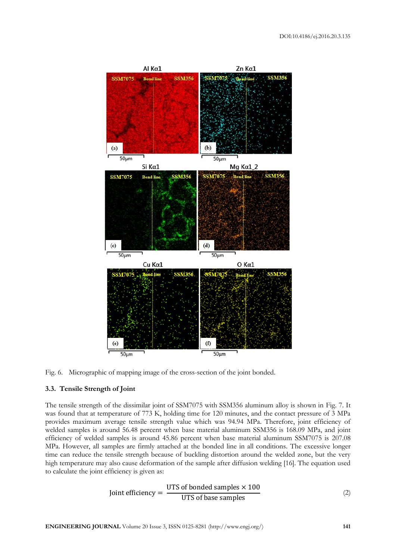



### **3.3. Tensile Strength of Joint**

The tensile strength of the dissimilar joint of SSM7075 with SSM356 aluminum alloy is shown in Fig. 7. It was found that at temperature of 773 K, holding time for 120 minutes, and the contact pressure of 3 MPa provides maximum average tensile strength value which was 94.94 MPa. Therefore, joint efficiency of welded samples is around 56.48 percent when base material aluminum SSM356 is 168.09 MPa, and joint efficiency of welded samples is around 45.86 percent when base material aluminum SSM7075 is 207.08 MPa. However, all samples are firmly attached at the bonded line in all conditions. The excessive longer time can reduce the tensile strength because of buckling distortion around the welded zone, but the very high temperature may also cause deformation of the sample after diffusion welding [16]. The equation used to calculate the joint efficiency is given as:

Joint efficiency = 
$$
\frac{UTS \text{ of bonded samples} \times 100}{UTS \text{ of base samples}}
$$
 (2)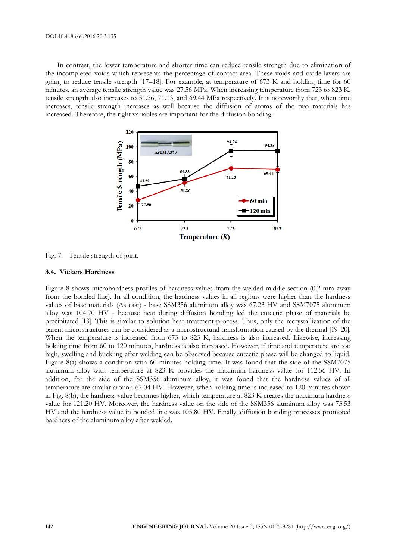In contrast, the lower temperature and shorter time can reduce tensile strength due to elimination of the incompleted voids which represents the percentage of contact area. These voids and oxide layers are going to reduce tensile strength [17–18]. For example, at temperature of 673 K and holding time for 60 minutes, an average tensile strength value was 27.56 MPa. When increasing temperature from 723 to 823 K, tensile strength also increases to 51.26, 71.13, and 69.44 MPa respectively. It is noteworthy that, when time increases, tensile strength increases as well because the diffusion of atoms of the two materials has increased. Therefore, the right variables are important for the diffusion bonding.



Fig. 7. Tensile strength of joint.

#### **3.4. Vickers Hardness**

Figure 8 shows microhardness profiles of hardness values from the welded middle section (0.2 mm away from the bonded line). In all condition, the hardness values in all regions were higher than the hardness values of base materials (As cast) - base SSM356 aluminum alloy was 67.23 HV and SSM7075 aluminum alloy was 104.70 HV - because heat during diffusion bonding led the eutectic phase of materials be precipitated [13]. This is similar to solution heat treatment process. Thus, only the recrystallization of the parent microstructures can be considered as a microstructural transformation caused by the thermal [19–20]. When the temperature is increased from 673 to 823 K, hardness is also increased. Likewise, increasing holding time from 60 to 120 minutes, hardness is also increased. However, if time and temperature are too high, swelling and buckling after welding can be observed because eutectic phase will be changed to liquid. Figure 8(a) shows a condition with 60 minutes holding time. It was found that the side of the SSM7075 aluminum alloy with temperature at 823 K provides the maximum hardness value for 112.56 HV. In addition, for the side of the SSM356 aluminum alloy, it was found that the hardness values of all temperature are similar around 67.04 HV. However, when holding time is increased to 120 minutes shown in Fig. 8(b), the hardness value becomes higher, which temperature at 823 K creates the maximum hardness value for 121.20 HV. Moreover, the hardness value on the side of the SSM356 aluminum alloy was 73.53 HV and the hardness value in bonded line was 105.80 HV. Finally, diffusion bonding processes promoted hardness of the aluminum alloy after welded.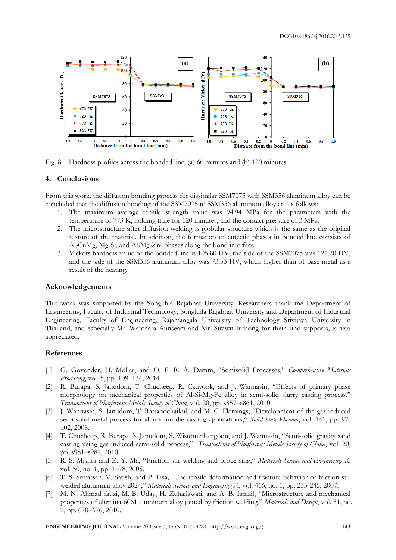

Fig. 8. Hardness profiles across the bonded line, (a) 60 minutes and (b) 120 minutes.

#### **4. Conclusions**

From this work, the diffusion bonding process for dissimilar SSM7075 with SSM356 aluminum alloy can be concluded that the diffusion bonding of the SSM7075 to SSM356 aluminum alloy are as follows:

- 1. The maximum average tensile strength value was 94.94 MPa for the parameters with the temperature of 773 K, holding time for 120 minutes, and the contact pressure of 3 MPa.
- 2. The microstructure after diffusion welding is globular structure which is the same as the original texture of the material. In addition, the formation of eutectic phases in bonded line consists of Al2CuMg, Mg2Si, and Al2Mg2Zn<sup>3</sup> phases along the bond interface.
- 3. Vickers hardness value of the bonded line is 105.80 HV, the side of the SSM7075 was 121.20 HV, and the side of the SSM356 aluminum alloy was 73.53 HV, which higher than of base metal as a result of the heating.

#### **Acknowledgements**

This work was supported by the Songkhla Rajabhat University. Researchers thank the Department of Engineering, Faculty of Industrial Technology, Songkhla Rajabhat University and Department of Industrial Engineering, Faculty of Engineering, Rajamangala University of Technology Srivijaya University in Thailand, and especially Mr. Watchara Aunseam and Mr. Sirawit Juthong for their kind supports, is also appreciated.

#### **References**

- [1] G. [Govender,](http://www.sciencedirect.com/science/article/pii/B9780080965321005161) H. [Moller,](http://www.sciencedirect.com/science/article/pii/B9780080965321005161) and O. F. R. A. [Damm](http://www.sciencedirect.com/science/article/pii/B9780080965321005161), "Semisolid Processes," *[Comprehensive Materials](http://www.sciencedirect.com/science/referenceworks/9780080965338)  [Processing](http://www.sciencedirect.com/science/referenceworks/9780080965338)*, vol. 5, pp. 109–134, 2014.
- [2] R. [Burapa,](http://www.sciencedirect.com/science/article/pii/S100363261060595X) S. [Janudom,](http://www.sciencedirect.com/science/article/pii/S100363261060595X) T. [Chucheep,](http://www.sciencedirect.com/science/article/pii/S100363261060595X) R. [Cany](http://www.sciencedirect.com/science/article/pii/S100363261060595X)ook, and J. [Wannasin,](http://www.sciencedirect.com/science/article/pii/S100363261060595X) "Effects of primary phase morphology on mechanical properties of Al-Si-Mg-Fe alloy in semi-solid slurry casting process," *[Transactions of Nonferrous Metals Society of China](http://www.sciencedirect.com/science/journal/10036326)*, vol. 20, pp. s857–s861, 2010.
- [3] J. [Wannasin,](http://www.sciencedirect.com/science/article/pii/S100363261060595X) S. [Janudom,](http://www.sciencedirect.com/science/article/pii/S100363261060595X) T. Rattanochaikul, and M. C. Flemings, "Development of the gas induced semi-solid metal process for aluminum die casting applications," *Solid State Phenom*, vol. 141, pp. 97- 102, 2008.
- [4] T. [Chucheep,](http://www.sciencedirect.com/science/article/pii/S100363261060595X) R. [Burapa,](http://www.sciencedirect.com/science/article/pii/S100363261060595X) S. [Janudom,](http://www.sciencedirect.com/science/article/pii/S100363261060595X) S. Wisutmethangoon, and J. [Wannasin](http://www.sciencedirect.com/science/article/pii/S100363261060595X), "Semi-solid gravity sand casting using gas induced semi-solid process," *[Transactions of Nonferrous Metals Society of China](http://www.sciencedirect.com/science/journal/10036326)*, vol. 20, pp. s981–s987, 2010.
- [5] R. S. Mishra and Z. Y. Ma, "Friction stir welding and processing," *Materials Science and Engineering R*, vol. 50, no. 1, pp. 1–78, 2005.
- [6] T. S. Srivatsan, V. Satish, and P. Lisa, "The tensile deformation and fracture behavior of friction stir welded aluminum alloy 2024," *Materials Science and Engineering A*, vol. 466, no. 1, pp. 235-245, 2007.
- [7] M. N. Ahmad fauzi, M. B. Uday, H. Zuhailawati, and A. B. Ismail, "Microstructure and mechanical properties of alumina-6061 aluminum alloy joined by friction welding," *Materials and Design*, vol. 31, no. 2, pp. 670–676, 2010.

**ENGINEERING JOURNAL** Volume 20 Issue 3, ISSN 0125-8281 (http://www.engj.org/) **143**